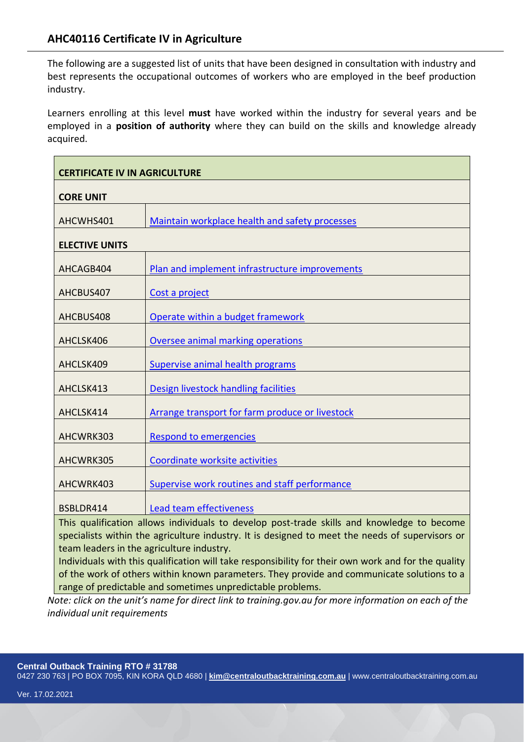The following are a suggested list of units that have been designed in consultation with industry and best represents the occupational outcomes of workers who are employed in the beef production industry.

Learners enrolling at this level **must** have worked within the industry for several years and be employed in a **position of authority** where they can build on the skills and knowledge already acquired.

| <b>CERTIFICATE IV IN AGRICULTURE</b>                                                                                                                                                          |                                                 |
|-----------------------------------------------------------------------------------------------------------------------------------------------------------------------------------------------|-------------------------------------------------|
| <b>CORE UNIT</b>                                                                                                                                                                              |                                                 |
| AHCWHS401                                                                                                                                                                                     | Maintain workplace health and safety processes  |
| <b>ELECTIVE UNITS</b>                                                                                                                                                                         |                                                 |
| AHCAGB404                                                                                                                                                                                     | Plan and implement infrastructure improvements  |
| AHCBUS407                                                                                                                                                                                     | Cost a project                                  |
| AHCBUS408                                                                                                                                                                                     | Operate within a budget framework               |
| AHCLSK406                                                                                                                                                                                     | Oversee animal marking operations               |
| AHCLSK409                                                                                                                                                                                     | Supervise animal health programs                |
| AHCLSK413                                                                                                                                                                                     | Design livestock handling facilities            |
| AHCLSK414                                                                                                                                                                                     | Arrange transport for farm produce or livestock |
| AHCWRK303                                                                                                                                                                                     | <b>Respond to emergencies</b>                   |
| AHCWRK305                                                                                                                                                                                     | Coordinate worksite activities                  |
| AHCWRK403                                                                                                                                                                                     | Supervise work routines and staff performance   |
| BSBLDR414                                                                                                                                                                                     | Lead team effectiveness                         |
| This qualification allows individuals to develop post-trade skills and knowledge to become<br>specialists within the agriculture industry. It is designed to meet the needs of supervisors or |                                                 |
| team leaders in the agriculture industry.<br>Individuals with this qualification will take responsibility for their own work and for the quality                                              |                                                 |
| of the werk of others within known parameters. They provide and communicate solutions to a                                                                                                    |                                                 |

k of others within known parameters. They provide and communicate solutions to a range of predictable and sometimes unpredictable problems.

*Note: click on the unit's name for direct link to training.gov.au for more information on each of the individual unit requirements* 

**Central Outback Training RTO # 31788**

0427 230 763 | PO BOX 7095, KIN KORA QLD 4680 | **[kim@centraloutbacktraining.com.au](mailto:kim@centraloutbacktraining.com.au)** | www.centraloutbacktraining.com.au